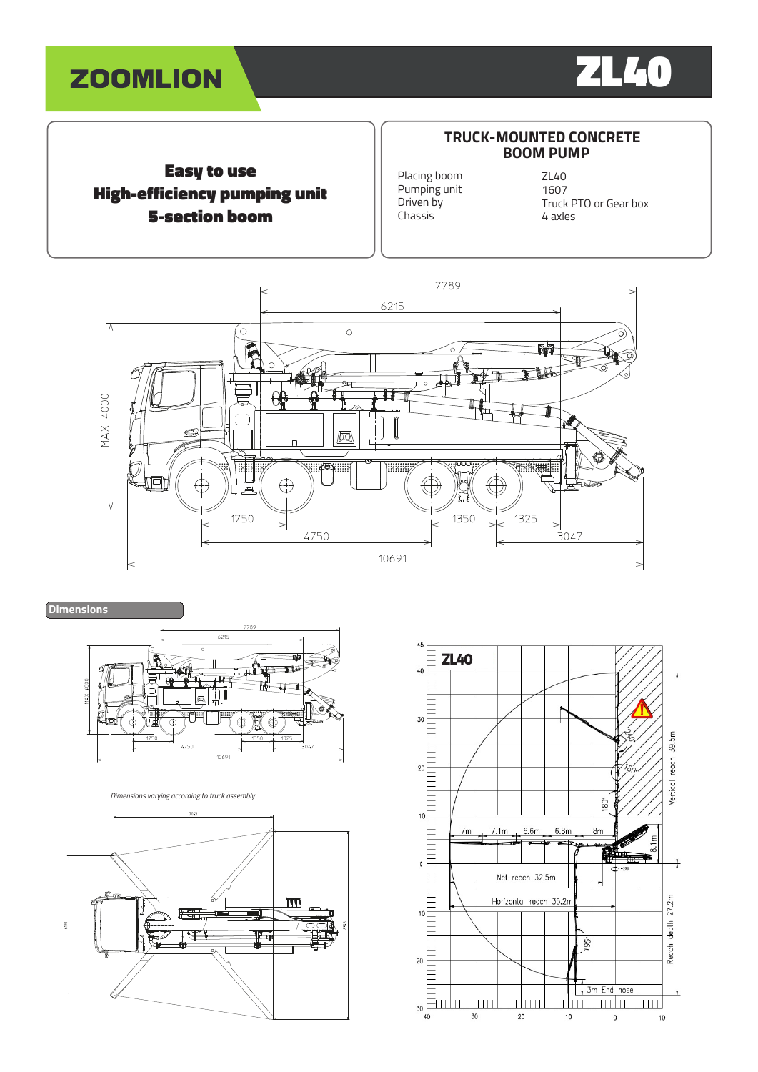



Easy to use High-efficiency pumping unit 5-section boom

# **TRUCK-MOUNTED CONCRETE BOOM PUMP**

Placing boom Pumping unit Driven by Chassis

ZL40 1607 Truck PTO or Gear box 4 axles





*Dimensions varying according to truck assembly*